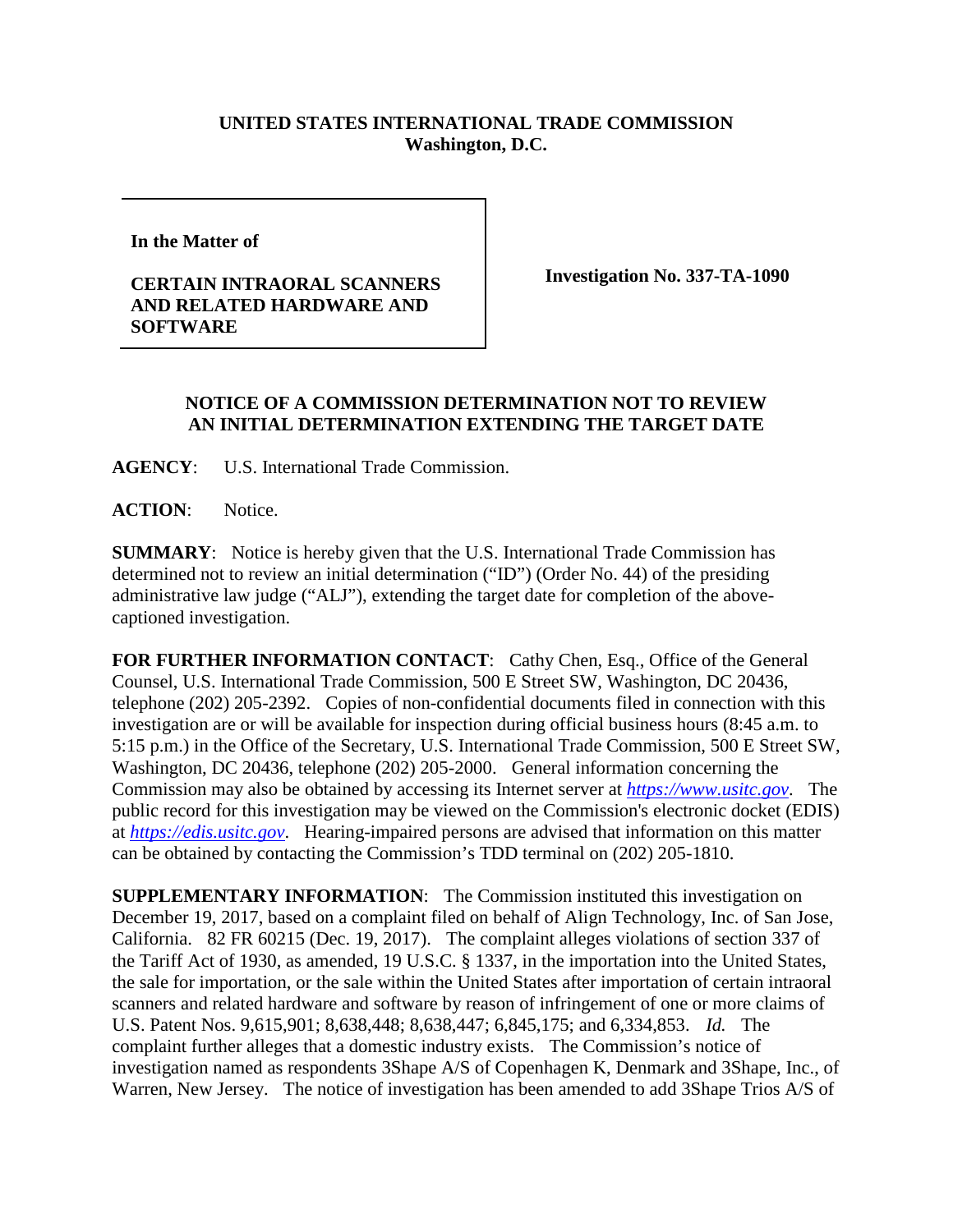## **UNITED STATES INTERNATIONAL TRADE COMMISSION Washington, D.C.**

**In the Matter of** 

## **CERTAIN INTRAORAL SCANNERS AND RELATED HARDWARE AND SOFTWARE**

**Investigation No. 337-TA-1090**

## **NOTICE OF A COMMISSION DETERMINATION NOT TO REVIEW AN INITIAL DETERMINATION EXTENDING THE TARGET DATE**

**AGENCY**: U.S. International Trade Commission.

**ACTION**: Notice.

**SUMMARY**: Notice is hereby given that the U.S. International Trade Commission has determined not to review an initial determination ("ID") (Order No. 44) of the presiding administrative law judge ("ALJ"), extending the target date for completion of the abovecaptioned investigation.

FOR FURTHER INFORMATION CONTACT: Cathy Chen, Esq., Office of the General Counsel, U.S. International Trade Commission, 500 E Street SW, Washington, DC 20436, telephone (202) 205-2392. Copies of non-confidential documents filed in connection with this investigation are or will be available for inspection during official business hours (8:45 a.m. to 5:15 p.m.) in the Office of the Secretary, U.S. International Trade Commission, 500 E Street SW, Washington, DC 20436, telephone (202) 205-2000. General information concerning the Commission may also be obtained by accessing its Internet server at *[https://www.usitc.gov](https://www.usitc.gov/)*. The public record for this investigation may be viewed on the Commission's electronic docket (EDIS) at *[https://edis.usitc.gov](https://edis.usitc.gov/)*. Hearing-impaired persons are advised that information on this matter can be obtained by contacting the Commission's TDD terminal on (202) 205-1810.

**SUPPLEMENTARY INFORMATION**: The Commission instituted this investigation on December 19, 2017, based on a complaint filed on behalf of Align Technology, Inc. of San Jose, California. 82 FR 60215 (Dec. 19, 2017). The complaint alleges violations of section 337 of the Tariff Act of 1930, as amended, 19 U.S.C. § 1337, in the importation into the United States, the sale for importation, or the sale within the United States after importation of certain intraoral scanners and related hardware and software by reason of infringement of one or more claims of U.S. Patent Nos. 9,615,901; 8,638,448; 8,638,447; 6,845,175; and 6,334,853.*Id.* The complaint further alleges that a domestic industry exists. The Commission's notice of investigation named as respondents 3Shape A/S of Copenhagen K, Denmark and 3Shape, Inc., of Warren, New Jersey. The notice of investigation has been amended to add 3Shape Trios A/S of